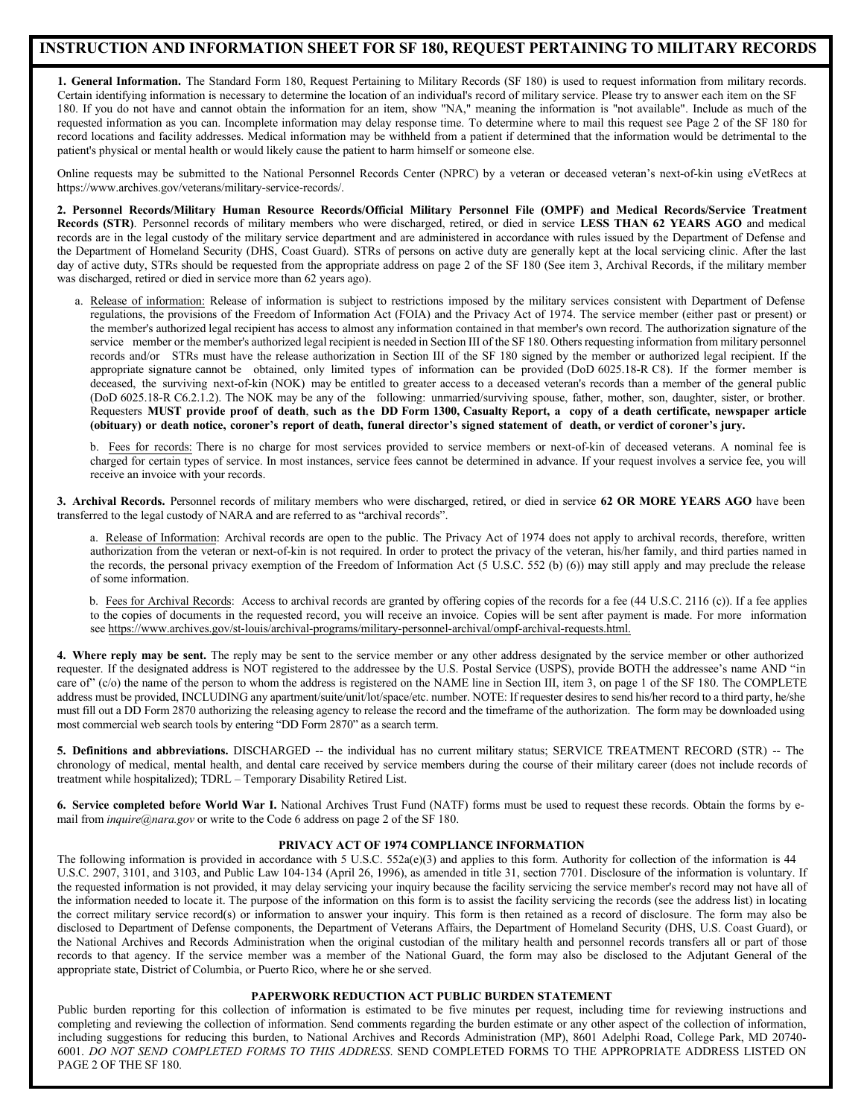## **INSTRUCTION AND INFORMATION SHEET FOR SF 180, REQUEST PERTAINING TO MILITARY RECORDS**

**1. General Information.** The Standard Form 180, Request Pertaining to Military Records (SF 180) is used to request information from military records. Certain identifying information is necessary to determine the location of an individual's record of military service. Please try to answer each item on the SF 180. If you do not have and cannot obtain the information for an item, show "NA," meaning the information is "not available". Include as much of the requested information as you can. Incomplete information may delay response time. To determine where to mail this request see Page 2 of the SF 180 for record locations and facility addresses. Medical information may be withheld from a patient if determined that the information would be detrimental to the patient's physical or mental health or would likely cause the patient to harm himself or someone else.

Online requests may be submitted to the National Personnel Records Center (NPRC) by a veteran or deceased veteran's next-of-kin using eVetRecs at https://www.archives.gov/veterans/military-service-records/.

**2. Personnel Records/Military Human Resource Records/Official Military Personnel File (OMPF) and Medical Records/Service Treatment Records (STR)**. Personnel records of military members who were discharged, retired, or died in service **LESS THAN 62 YEARS AGO** and medical records are in the legal custody of the military service department and are administered in accordance with rules issued by the Department of Defense and the Department of Homeland Security (DHS, Coast Guard). STRs of persons on active duty are generally kept at the local servicing clinic. After the last day of active duty, STRs should be requested from the appropriate address on page 2 of the SF 180 (See item 3, Archival Records, if the military member was discharged, retired or died in service more than 62 years ago).

a. Release of information: Release of information is subject to restrictions imposed by the military services consistent with Department of Defense regulations, the provisions of the Freedom of Information Act (FOIA) and the Privacy Act of 1974. The service member (either past or present) or the member's authorized legal recipient has access to almost any information contained in that member's own record. The authorization signature of the service member or the member's authorized legal recipient is needed in Section III of the SF 180. Others requesting information from military personnel records and/or STRs must have the release authorization in Section III of the SF 180 signed by the member or authorized legal recipient. If the appropriate signature cannot be obtained, only limited types of information can be provided (DoD 6025.18-R C8). If the former member is deceased, the surviving next-of-kin (NOK) may be entitled to greater access to a deceased veteran's records than a member of the general public (DoD 6025.18-R C6.2.1.2). The NOK may be any of the following: unmarried/surviving spouse, father, mother, son, daughter, sister, or brother. Requesters MUST provide proof of death, such as the DD Form 1300, Casualty Report, a copy of a death certificate, newspaper article (obituary) or death notice, coroner's report of death, funeral director's signed statement of death, or verdict of coroner's jury.

b. Fees for records: There is no charge for most services provided to service members or next-of-kin of deceased veterans. A nominal fee is charged for certain types of service. In most instances, service fees cannot be determined in advance. If your request involves a service fee, you will receive an invoice with your records.

**3. Archival Records.** Personnel records of military members who were discharged, retired, or died in service **62 OR MORE YEARS AGO** have been transferred to the legal custody of NARA and are referred to as "archival records".

a. Release of Information: Archival records are open to the public. The Privacy Act of 1974 does not apply to archival records, therefore, written authorization from the veteran or next-of-kin is not required. In order to protect the privacy of the veteran, his/her family, and third parties named in the records, the personal privacy exemption of the Freedom of Information Act (5 U.S.C. 552 (b) (6)) may still apply and may preclude the release of some information.

b. Fees for Archival Records: Access to archival records are granted by offering copies of the records for a fee (44 U.S.C. 2116 (c)). If a fee applies to the copies of documents in the requested record, you will receive an invoice. Copies will be sent after payment is made. For more information see https://www.archives.gov/st-louis/archival-programs/military-personnel-archival/ompf-archival-requests.html.

**4. Where reply may be sent.** The reply may be sent to the service member or any other address designated by the service member or other authorized requester. If the designated address is NOT registered to the addressee by the U.S. Postal Service (USPS), provide BOTH the addressee's name AND "in care of" (c/o) the name of the person to whom the address is registered on the NAME line in Section III, item 3, on page 1 of the SF 180. The COMPLETE address must be provided, INCLUDING any apartment/suite/unit/lot/space/etc. number. NOTE: If requester desires to send his/her record to a third party, he/she must fill out a DD Form 2870 authorizing the releasing agency to release the record and the timeframe of the authorization. The form may be downloaded using most commercial web search tools by entering "DD Form 2870" as a search term.

**5. Definitions and abbreviations.** DISCHARGED -- the individual has no current military status; SERVICE TREATMENT RECORD (STR) -- The chronology of medical, mental health, and dental care received by service members during the course of their military career (does not include records of treatment while hospitalized); TDRL – Temporary Disability Retired List.

**6. Service completed before World War I.** National Archives Trust Fund (NATF) forms must be used to request these records. Obtain the forms by email from *inquire@nara.gov* or write to the Code 6 address on page 2 of the SF 180.

## **PRIVACY ACT OF 1974 COMPLIANCE INFORMATION**

The following information is provided in accordance with 5 U.S.C. 552a(e)(3) and applies to this form. Authority for collection of the information is 44 U.S.C. 2907, 3101, and 3103, and Public Law 104-134 (April 26, 1996), as amended in title 31, section 7701. Disclosure of the information is voluntary. If the requested information is not provided, it may delay servicing your inquiry because the facility servicing the service member's record may not have all of the information needed to locate it. The purpose of the information on this form is to assist the facility servicing the records (see the address list) in locating the correct military service record(s) or information to answer your inquiry. This form is then retained as a record of disclosure. The form may also be disclosed to Department of Defense components, the Department of Veterans Affairs, the Department of Homeland Security (DHS, U.S. Coast Guard), or the National Archives and Records Administration when the original custodian of the military health and personnel records transfers all or part of those records to that agency. If the service member was a member of the National Guard, the form may also be disclosed to the Adjutant General of the appropriate state, District of Columbia, or Puerto Rico, where he or she served.

## **PAPERWORK REDUCTION ACT PUBLIC BURDEN STATEMENT**

Public burden reporting for this collection of information is estimated to be five minutes per request, including time for reviewing instructions and completing and reviewing the collection of information. Send comments regarding the burden estimate or any other aspect of the collection of information, including suggestions for reducing this burden, to National Archives and Records Administration (MP), 8601 Adelphi Road, College Park, MD 20740- 6001. *DO NOT SEND COMPLETED FORMS TO THIS ADDRESS*. SEND COMPLETED FORMS TO THE APPROPRIATE ADDRESS LISTED ON PAGE 2 OF THE SF 180.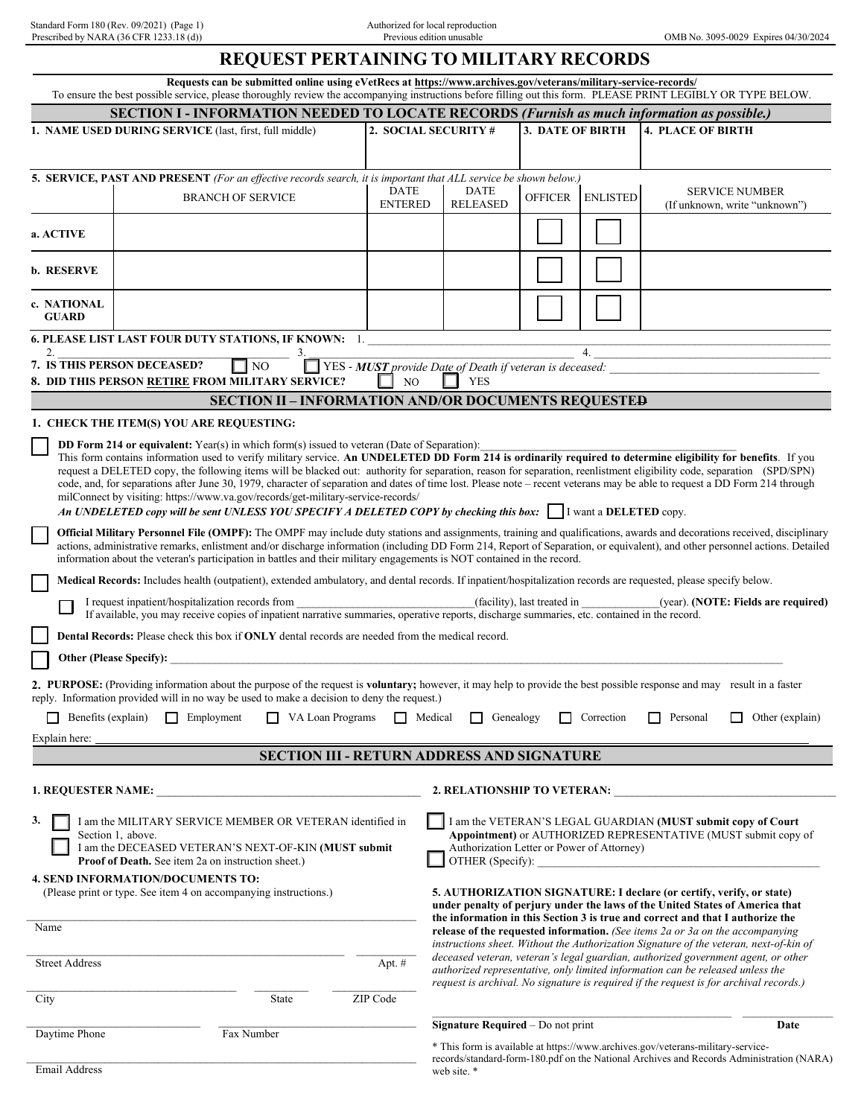Standard Form 180 (Rev. 09/2021) (Page 1) Authorized for local reproduction

## **REQUEST PERTAINING TO MILITARY RECORDS**

|                                                                                                                                                                                                                                                                                                                                                                                                                                                                                                                                                                                                                                                                                                                                                                                                                             | Requests can be submitted online using eVetRecs at https://www.archives.gov/veterans/military-service-records/<br>To ensure the best possible service, please thoroughly review the accompanying instructions before filling out this form. PLEASE PRINT LEGIBLY OR TYPE BELOW. |  |  |  |  |  |  |  |
|-----------------------------------------------------------------------------------------------------------------------------------------------------------------------------------------------------------------------------------------------------------------------------------------------------------------------------------------------------------------------------------------------------------------------------------------------------------------------------------------------------------------------------------------------------------------------------------------------------------------------------------------------------------------------------------------------------------------------------------------------------------------------------------------------------------------------------|---------------------------------------------------------------------------------------------------------------------------------------------------------------------------------------------------------------------------------------------------------------------------------|--|--|--|--|--|--|--|
|                                                                                                                                                                                                                                                                                                                                                                                                                                                                                                                                                                                                                                                                                                                                                                                                                             | <b>SECTION I - INFORMATION NEEDED TO LOCATE RECORDS (Furnish as much information as possible.)</b>                                                                                                                                                                              |  |  |  |  |  |  |  |
| 1. NAME USED DURING SERVICE (last, first, full middle)                                                                                                                                                                                                                                                                                                                                                                                                                                                                                                                                                                                                                                                                                                                                                                      | 2. SOCIAL SECURITY #<br>3. DATE OF BIRTH<br><b>4. PLACE OF BIRTH</b>                                                                                                                                                                                                            |  |  |  |  |  |  |  |
|                                                                                                                                                                                                                                                                                                                                                                                                                                                                                                                                                                                                                                                                                                                                                                                                                             |                                                                                                                                                                                                                                                                                 |  |  |  |  |  |  |  |
| 5. SERVICE, PAST AND PRESENT (For an effective records search, it is important that ALL service be shown below.)                                                                                                                                                                                                                                                                                                                                                                                                                                                                                                                                                                                                                                                                                                            |                                                                                                                                                                                                                                                                                 |  |  |  |  |  |  |  |
| <b>DATE</b><br><b>BRANCH OF SERVICE</b>                                                                                                                                                                                                                                                                                                                                                                                                                                                                                                                                                                                                                                                                                                                                                                                     | <b>DATE</b><br>SERVICE NUMBER<br><b>OFFICER</b><br><b>ENLISTED</b>                                                                                                                                                                                                              |  |  |  |  |  |  |  |
|                                                                                                                                                                                                                                                                                                                                                                                                                                                                                                                                                                                                                                                                                                                                                                                                                             | <b>ENTERED</b><br><b>RELEASED</b><br>(If unknown, write "unknown")                                                                                                                                                                                                              |  |  |  |  |  |  |  |
| a. ACTIVE                                                                                                                                                                                                                                                                                                                                                                                                                                                                                                                                                                                                                                                                                                                                                                                                                   |                                                                                                                                                                                                                                                                                 |  |  |  |  |  |  |  |
| <b>b. RESERVE</b>                                                                                                                                                                                                                                                                                                                                                                                                                                                                                                                                                                                                                                                                                                                                                                                                           |                                                                                                                                                                                                                                                                                 |  |  |  |  |  |  |  |
| c. NATIONAL<br><b>GUARD</b>                                                                                                                                                                                                                                                                                                                                                                                                                                                                                                                                                                                                                                                                                                                                                                                                 |                                                                                                                                                                                                                                                                                 |  |  |  |  |  |  |  |
| <b>6. PLEASE LIST LAST FOUR DUTY STATIONS, IF KNOWN: 1.</b><br>3.                                                                                                                                                                                                                                                                                                                                                                                                                                                                                                                                                                                                                                                                                                                                                           | 4.                                                                                                                                                                                                                                                                              |  |  |  |  |  |  |  |
| 7. IS THIS PERSON DECEASED?<br>$\Box$ NO                                                                                                                                                                                                                                                                                                                                                                                                                                                                                                                                                                                                                                                                                                                                                                                    | $\Box$ YES - <b>MUST</b> provide Date of Death if veteran is deceased:                                                                                                                                                                                                          |  |  |  |  |  |  |  |
| 8. DID THIS PERSON RETIRE FROM MILITARY SERVICE?                                                                                                                                                                                                                                                                                                                                                                                                                                                                                                                                                                                                                                                                                                                                                                            | <b>YES</b><br>NO                                                                                                                                                                                                                                                                |  |  |  |  |  |  |  |
|                                                                                                                                                                                                                                                                                                                                                                                                                                                                                                                                                                                                                                                                                                                                                                                                                             | <b>SECTION II - INFORMATION AND/OR DOCUMENTS REQUESTED</b>                                                                                                                                                                                                                      |  |  |  |  |  |  |  |
| 1. CHECK THE ITEM(S) YOU ARE REQUESTING:                                                                                                                                                                                                                                                                                                                                                                                                                                                                                                                                                                                                                                                                                                                                                                                    |                                                                                                                                                                                                                                                                                 |  |  |  |  |  |  |  |
| DD Form 214 or equivalent: Year(s) in which form(s) issued to veteran (Date of Separation):<br>This form contains information used to verify military service. An UNDELETED DD Form 214 is ordinarily required to determine eligibility for benefits. If you<br>request a DELETED copy, the following items will be blacked out: authority for separation, reason for separation, reenlistment eligibility code, separation (SPD/SPN)<br>code, and, for separations after June 30, 1979, character of separation and dates of time lost. Please note – recent veterans may be able to request a DD Form 214 through<br>milConnect by visiting: https://www.va.gov/records/get-military-service-records/<br>An UNDELETED copy will be sent UNLESS YOU SPECIFY A DELETED COPY by checking this box:    I want a DELETED copy. |                                                                                                                                                                                                                                                                                 |  |  |  |  |  |  |  |
| Official Military Personnel File (OMPF): The OMPF may include duty stations and assignments, training and qualifications, awards and decorations received, disciplinary<br>actions, administrative remarks, enlistment and/or discharge information (including DD Form 214, Report of Separation, or equivalent), and other personnel actions. Detailed<br>information about the veteran's participation in battles and their military engagements is NOT contained in the record.                                                                                                                                                                                                                                                                                                                                          |                                                                                                                                                                                                                                                                                 |  |  |  |  |  |  |  |
|                                                                                                                                                                                                                                                                                                                                                                                                                                                                                                                                                                                                                                                                                                                                                                                                                             | Medical Records: Includes health (outpatient), extended ambulatory, and dental records. If inpatient/hospitalization records are requested, please specify below.                                                                                                               |  |  |  |  |  |  |  |
| I request inpatient/hospitalization records from<br>If available, you may receive copies of inpatient narrative summaries, operative reports, discharge summaries, etc. contained in the record.                                                                                                                                                                                                                                                                                                                                                                                                                                                                                                                                                                                                                            | (facility), last treated in<br>(year). ( <b>NOTE</b> : Fields are required)                                                                                                                                                                                                     |  |  |  |  |  |  |  |
| <b>Dental Records:</b> Please check this box if <b>ONLY</b> dental records are needed from the medical record.                                                                                                                                                                                                                                                                                                                                                                                                                                                                                                                                                                                                                                                                                                              |                                                                                                                                                                                                                                                                                 |  |  |  |  |  |  |  |
| <b>Other (Please Specify):</b>                                                                                                                                                                                                                                                                                                                                                                                                                                                                                                                                                                                                                                                                                                                                                                                              |                                                                                                                                                                                                                                                                                 |  |  |  |  |  |  |  |
| reply. Information provided will in no way be used to make a decision to deny the request.)                                                                                                                                                                                                                                                                                                                                                                                                                                                                                                                                                                                                                                                                                                                                 | 2. PURPOSE: (Providing information about the purpose of the request is voluntary; however, it may help to provide the best possible response and may result in a faster                                                                                                         |  |  |  |  |  |  |  |
| Benefits (explain)<br>Employment<br>VA Loan Programs                                                                                                                                                                                                                                                                                                                                                                                                                                                                                                                                                                                                                                                                                                                                                                        | Medical<br>Genealogy<br>Correction<br>Personal<br>Other (explain)                                                                                                                                                                                                               |  |  |  |  |  |  |  |
| Explain here:                                                                                                                                                                                                                                                                                                                                                                                                                                                                                                                                                                                                                                                                                                                                                                                                               |                                                                                                                                                                                                                                                                                 |  |  |  |  |  |  |  |
|                                                                                                                                                                                                                                                                                                                                                                                                                                                                                                                                                                                                                                                                                                                                                                                                                             | <b>SECTION III - RETURN ADDRESS AND SIGNATURE</b>                                                                                                                                                                                                                               |  |  |  |  |  |  |  |
| <b>1. REQUESTER NAME:</b>                                                                                                                                                                                                                                                                                                                                                                                                                                                                                                                                                                                                                                                                                                                                                                                                   | 2. RELATIONSHIP TO VETERAN:                                                                                                                                                                                                                                                     |  |  |  |  |  |  |  |
| 3.<br>I am the MILITARY SERVICE MEMBER OR VETERAN identified in<br>Section 1, above.<br>I am the DECEASED VETERAN'S NEXT-OF-KIN (MUST submit<br><b>Proof of Death.</b> See item 2a on instruction sheet.)                                                                                                                                                                                                                                                                                                                                                                                                                                                                                                                                                                                                                   | I am the VETERAN'S LEGAL GUARDIAN (MUST submit copy of Court<br>Appointment) or AUTHORIZED REPRESENTATIVE (MUST submit copy of<br>Authorization Letter or Power of Attorney)                                                                                                    |  |  |  |  |  |  |  |
| <b>4. SEND INFORMATION/DOCUMENTS TO:</b>                                                                                                                                                                                                                                                                                                                                                                                                                                                                                                                                                                                                                                                                                                                                                                                    | OTHER (Specify):                                                                                                                                                                                                                                                                |  |  |  |  |  |  |  |
| (Please print or type. See item 4 on accompanying instructions.)                                                                                                                                                                                                                                                                                                                                                                                                                                                                                                                                                                                                                                                                                                                                                            | 5. AUTHORIZATION SIGNATURE: I declare (or certify, verify, or state)<br>under penalty of perjury under the laws of the United States of America that                                                                                                                            |  |  |  |  |  |  |  |
|                                                                                                                                                                                                                                                                                                                                                                                                                                                                                                                                                                                                                                                                                                                                                                                                                             |                                                                                                                                                                                                                                                                                 |  |  |  |  |  |  |  |
| Name                                                                                                                                                                                                                                                                                                                                                                                                                                                                                                                                                                                                                                                                                                                                                                                                                        | the information in this Section 3 is true and correct and that I authorize the<br>release of the requested information. (See items 2a or 3a on the accompanying<br>instructions sheet. Without the Authorization Signature of the veteran, next-of-kin of                       |  |  |  |  |  |  |  |
| <b>Street Address</b><br>Apt. #                                                                                                                                                                                                                                                                                                                                                                                                                                                                                                                                                                                                                                                                                                                                                                                             | deceased veteran, veteran's legal guardian, authorized government agent, or other<br>authorized representative, only limited information can be released unless the                                                                                                             |  |  |  |  |  |  |  |
| State<br>ZIP Code<br>City                                                                                                                                                                                                                                                                                                                                                                                                                                                                                                                                                                                                                                                                                                                                                                                                   | request is archival. No signature is required if the request is for archival records.)                                                                                                                                                                                          |  |  |  |  |  |  |  |
| Fax Number<br>Daytime Phone                                                                                                                                                                                                                                                                                                                                                                                                                                                                                                                                                                                                                                                                                                                                                                                                 | Signature Required - Do not print<br>Date                                                                                                                                                                                                                                       |  |  |  |  |  |  |  |